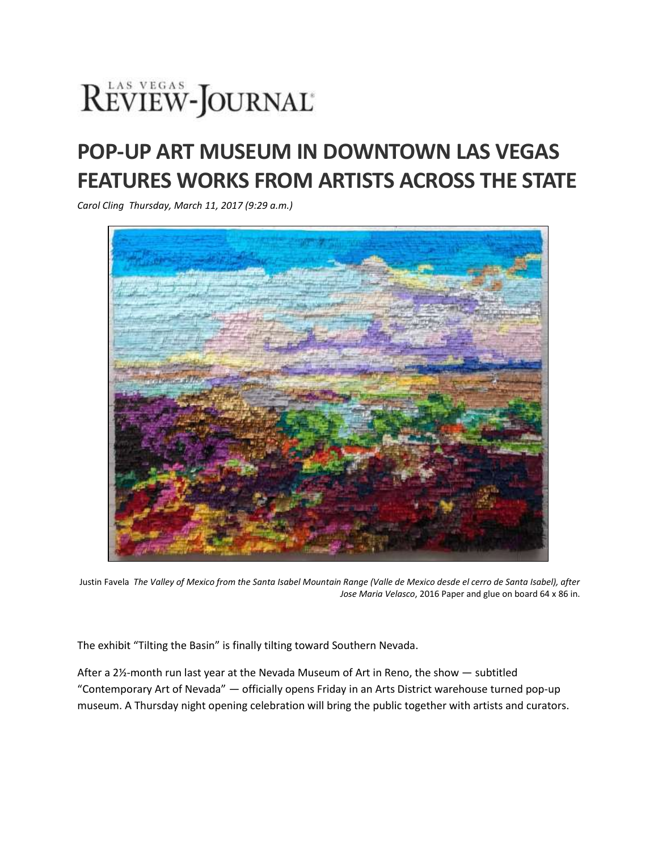## REVIEW-JOURNAL®

## **POP-UP ART MUSEUM IN DOWNTOWN LAS VEGAS FEATURES WORKS FROM ARTISTS ACROSS THE STATE**

*Carol Cling Thursday, March 11, 2017 (9:29 a.m.)*



Justin Favela *The Valley of Mexico from the Santa Isabel Mountain Range (Valle de Mexico desde el cerro de Santa Isabel), after Jose Maria Velasco*, 2016 Paper and glue on board 64 x 86 in.

The exhibit "Tilting the Basin" is finally tilting toward Southern Nevada.

After a 2½-month run last year at the Nevada Museum of Art in Reno, the show — subtitled "Contemporary Art of Nevada" — officially opens Friday in an Arts District warehouse turned pop-up museum. A Thursday night opening celebration will bring the public together with artists and curators.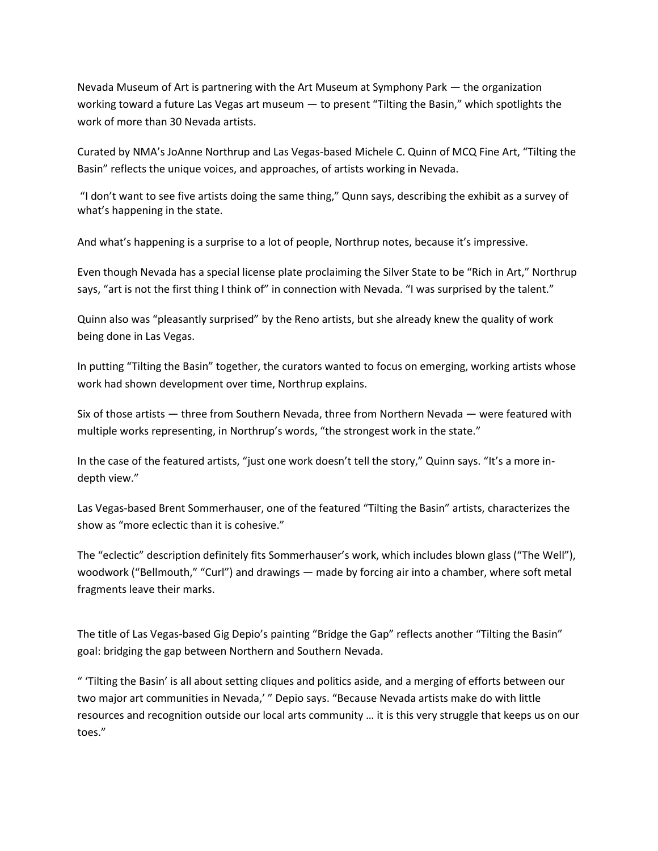Nevada Museum of Art is partnering with the Art Museum at Symphony Park — the organization working toward a future Las Vegas art museum — to present "Tilting the Basin," which spotlights the work of more than 30 Nevada artists.

Curated by NMA's JoAnne Northrup and Las Vegas-based Michele C. Quinn of MCQ Fine Art, "Tilting the Basin" reflects the unique voices, and approaches, of artists working in Nevada.

"I don't want to see five artists doing the same thing," Qunn says, describing the exhibit as a survey of what's happening in the state.

And what's happening is a surprise to a lot of people, Northrup notes, because it's impressive.

Even though Nevada has a special license plate proclaiming the Silver State to be "Rich in Art," Northrup says, "art is not the first thing I think of" in connection with Nevada. "I was surprised by the talent."

Quinn also was "pleasantly surprised" by the Reno artists, but she already knew the quality of work being done in Las Vegas.

In putting "Tilting the Basin" together, the curators wanted to focus on emerging, working artists whose work had shown development over time, Northrup explains.

Six of those artists — three from Southern Nevada, three from Northern Nevada — were featured with multiple works representing, in Northrup's words, "the strongest work in the state."

In the case of the featured artists, "just one work doesn't tell the story," Quinn says. "It's a more indepth view."

Las Vegas-based Brent Sommerhauser, one of the featured "Tilting the Basin" artists, characterizes the show as "more eclectic than it is cohesive."

The "eclectic" description definitely fits Sommerhauser's work, which includes blown glass ("The Well"), woodwork ("Bellmouth," "Curl") and drawings — made by forcing air into a chamber, where soft metal fragments leave their marks.

The title of Las Vegas-based Gig Depio's painting "Bridge the Gap" reflects another "Tilting the Basin" goal: bridging the gap between Northern and Southern Nevada.

" 'Tilting the Basin' is all about setting cliques and politics aside, and a merging of efforts between our two major art communities in Nevada,' " Depio says. "Because Nevada artists make do with little resources and recognition outside our local arts community … it is this very struggle that keeps us on our toes."